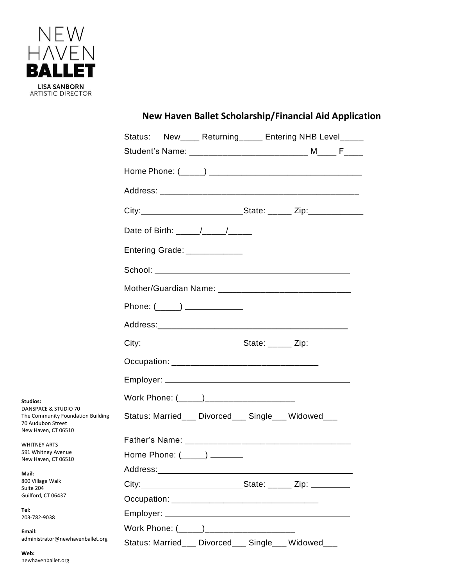

|  | Status: New____ Returning_____ Entering NHB Level_____ |  |  |
|--|--------------------------------------------------------|--|--|
|  |                                                        |  |  |
|  |                                                        |  |  |
|  |                                                        |  |  |

**New Haven Ballet Scholarship/Financial Aid Application**

|                                                                                                                                   | Date of Birth: _____/____/_____                     |  |  |  |
|-----------------------------------------------------------------------------------------------------------------------------------|-----------------------------------------------------|--|--|--|
|                                                                                                                                   | Entering Grade: ____________                        |  |  |  |
|                                                                                                                                   |                                                     |  |  |  |
|                                                                                                                                   |                                                     |  |  |  |
|                                                                                                                                   | Phone: $(\_\_)$                                     |  |  |  |
|                                                                                                                                   |                                                     |  |  |  |
|                                                                                                                                   | City: City: 2001 City: 2002 State: 2004 City:       |  |  |  |
|                                                                                                                                   |                                                     |  |  |  |
|                                                                                                                                   |                                                     |  |  |  |
| Studios:                                                                                                                          |                                                     |  |  |  |
| DANSPACE & STUDIO 70<br>The Community Foundation Building<br>70 Audubon Street                                                    | Status: Married___ Divorced___ Single___ Widowed___ |  |  |  |
| New Haven, CT 06510<br><b>WHITNEY ARTS</b><br>591 Whitney Avenue<br>New Haven, CT 06510<br>Mail:<br>800 Village Walk<br>Suite 204 |                                                     |  |  |  |
|                                                                                                                                   | Home Phone: $(\_\_\_\_\_)\_\_\_\_\_$                |  |  |  |
|                                                                                                                                   |                                                     |  |  |  |
|                                                                                                                                   |                                                     |  |  |  |
| Guilford, CT 06437                                                                                                                |                                                     |  |  |  |
| Tel:<br>203-782-0038                                                                                                              |                                                     |  |  |  |

Work Phone: (\_\_\_\_\_)\_\_\_\_\_\_\_\_\_\_\_\_

Status: Married\_\_\_ Divorced\_\_\_ Single\_\_\_ Widowed\_\_\_

**Tel:** 203-782-9038

**Email:**  administrator@newhavenballet.org